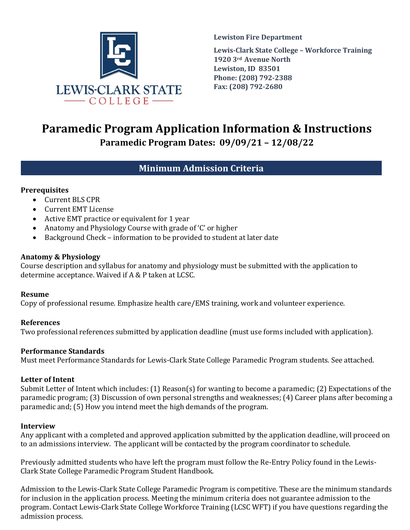

**Lewiston Fire Department Lewis-Clark State College – Workforce Training 1920 3rd Avenue North Lewiston, ID 83501 Phone: (208) 792-2388 Fax: (208) 792-2680**

# **Paramedic Program Application Information & Instructions**

**Paramedic Program Dates: 09/09/21 – 12/08/22**

# **Minimum Admission Criteria**

## **Prerequisites**

- Current BLS CPR
- Current EMT License
- Active EMT practice or equivalent for 1 year
- Anatomy and Physiology Course with grade of 'C' or higher<br>• Background Check information to be provided to student
- Background Check information to be provided to student at later date

## **Anatomy & Physiology**

Course description and syllabus for anatomy and physiology must be submitted with the application to determine acceptance. Waived if A & P taken at LCSC.

## **Resume**

Copy of professional resume. Emphasize health care/EMS training, work and volunteer experience.

## **References**

Two professional references submitted by application deadline (must use forms included with application).

## **Performance Standards**

Must meet Performance Standards for Lewis-Clark State College Paramedic Program students. See attached.

## **Letter of Intent**

Submit Letter of Intent which includes: (1) Reason(s) for wanting to become a paramedic; (2) Expectations of the paramedic program; (3) Discussion of own personal strengths and weaknesses; (4) Career plans after becoming a paramedic and; (5) How you intend meet the high demands of the program.

## **Interview**

Any applicant with a completed and approved application submitted by the application deadline, will proceed on to an admissions interview. The applicant will be contacted by the program coordinator to schedule.

Previously admitted students who have left the program must follow the Re-Entry Policy found in the Lewis-Clark State College Paramedic Program Student Handbook.

Admission to the Lewis-Clark State College Paramedic Program is competitive. These are the minimum standards for inclusion in the application process. Meeting the minimum criteria does not guarantee admission to the program. Contact Lewis-Clark State College Workforce Training (LCSC WFT) if you have questions regarding the admission process.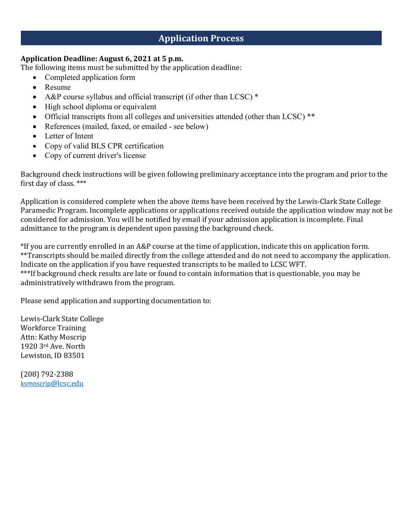## **Application Process**

## **Application Deadline: August 6, 2021 at 5 p.m.**

The following items must be submitted by the application deadline:

- Completed application form
- Resume
- A&P course syllabus and official transcript (if other than LCSC)  $*$
- High school diploma or equivalent
- Official transcripts from all colleges and universities attended (other than LCSC) \*\*
- References (mailed, faxed, or emailed see below)
- Letter of Intent
- Copy of valid BLS CPR certification
- Copy of current driver's license

Background check instructions will be given following preliminary acceptance into the program and prior to the first day of class. \*\*\*

Application is considered complete when the above items have been received by the Lewis-Clark State College Paramedic Program. Incomplete applications or applications received outside the application window may not be considered for admission. You will be notified by email if your admission application is incomplete. Final admittance to the program is dependent upon passing the background check.

\*If you are currently enrolled in an A&P course at the time of application, indicate this on application form. \*\*Transcripts should be mailed directly from the college attended and do not need to accompany the application. Indicate on the application if you have requested transcripts to be mailed to LCSC WFT. \*\*\*If background check results are late or found to contain information that is questionable, you may be administratively withdrawn from the program.

Please send application and supporting documentation to:

Lewis-Clark State College Workforce Training Attn: Kathy Moscrip 1920 3rd Ave. North Lewiston, ID 83501

(208) 792-2388 ksmoscrip@lcsc.edu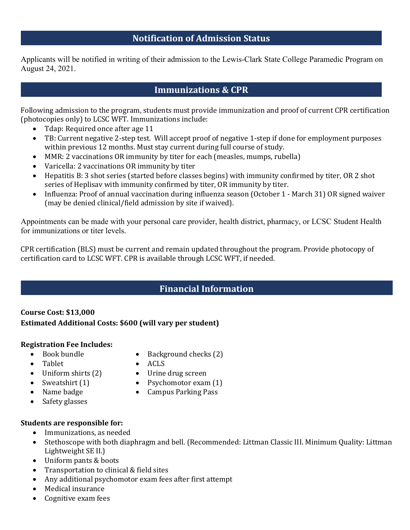## **Notification of Admission Status**

Applicants will be notified in writing of their admission to the Lewis-Clark State College Paramedic Program on August 24, 2021.

## **Immunizations & CPR**

Following admission to the program, students must provide immunization and proof of current CPR certification (photocopies only) to LCSC WFT. Immunizations include:

- Tdap: Required once after age 11
- TB: Current negative 2-step test. Will accept proof of negative 1-step if done for employment purposes within previous 12 months. Must stay current during full course of study.
- MMR: 2 vaccinations OR immunity by titer for each (measles, mumps, rubella)
- Varicella: 2 vaccinations OR immunity by titer
- Hepatitis B: 3 shot series (started before classes begins) with immunity confirmed by titer, OR 2 shot series of Heplisav with immunity confirmed by titer, OR immunity by titer.
- Influenza: Proof of annual vaccination during influenza season (October 1 March 31) OR signed waiver (may be denied clinical/field admission by site if waived).

Appointments can be made with your personal care provider, health district, pharmacy, or LCSC Student Health for immunizations or titer levels.

CPR certification (BLS) must be current and remain updated throughout the program. Provide photocopy of certification card to LCSC WFT. CPR is available through LCSC WFT, if needed.

## **Financial Information**

## **Course Cost: \$13,000 Estimated Additional Costs: \$600 (will vary per student)**

## **Registration Fee Includes:**

- Book bundle
- Tablet
- Uniform shirts (2)
- Sweatshirt (1)
- Name badge
- Psychomotor exam (1)

• Urine drug screen

• Background checks (2)

• Campus Parking Pass

• ACLS

- Safety glasses
- 

## **Students are responsible for:**

- Immunizations, as needed
- Stethoscope with both diaphragm and bell. (Recommended: Littman Classic III. Minimum Quality: Littman Lightweight SE II.)
- Uniform pants & boots
- Transportation to clinical & field sites<br>• Any additional psychomotor exam fees
- Any additional psychomotor exam fees after first attempt
- Medical insurance
- Cognitive exam fees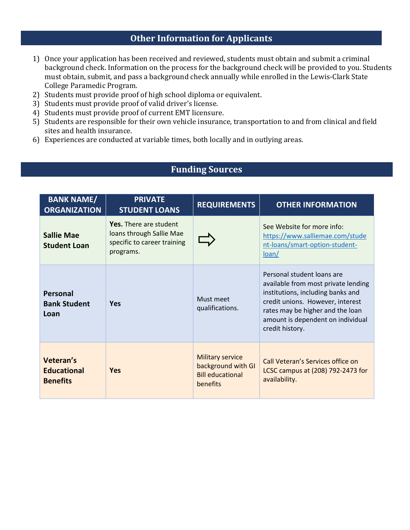# **Other Information for Applicants**

- 1) Once your application has been received and reviewed, students must obtain and submit a criminal background check. Information on the process for the background check will be provided to you. Students must obtain, submit, and pass a background check annually while enrolled in the Lewis-Clark State College Paramedic Program.
- 2) Students must provide proof of high school diploma or equivalent.
- 3) Students must provide proof of valid driver's license.
- 4) Students must provide proof of current EMT licensure.
- 5) Students are responsible for their own vehicle insurance, transportation to and from clinical and field sites and health insurance.
- 6) Experiences are conducted at variable times, both locally and in outlying areas.

## **Funding Sources**

| <b>BANK NAME/</b><br><b>ORGANIZATION</b>           | <b>PRIVATE</b><br><b>STUDENT LOANS</b>                                                         | <b>REQUIREMENTS</b>                                                                  | <b>OTHER INFORMATION</b>                                                                                                                                                                                                               |
|----------------------------------------------------|------------------------------------------------------------------------------------------------|--------------------------------------------------------------------------------------|----------------------------------------------------------------------------------------------------------------------------------------------------------------------------------------------------------------------------------------|
| <b>Sallie Mae</b><br><b>Student Loan</b>           | Yes. There are student<br>loans through Sallie Mae<br>specific to career training<br>programs. |                                                                                      | See Website for more info:<br>https://www.salliemae.com/stude<br>nt-loans/smart-option-student-<br>loan/                                                                                                                               |
| Personal<br><b>Bank Student</b><br>Loan            | <b>Yes</b>                                                                                     | Must meet<br>qualifications.                                                         | Personal student loans are<br>available from most private lending<br>institutions, including banks and<br>credit unions. However, interest<br>rates may be higher and the loan<br>amount is dependent on individual<br>credit history. |
| Veteran's<br><b>Educational</b><br><b>Benefits</b> | <b>Yes</b>                                                                                     | <b>Military service</b><br>background with GI<br><b>Bill educational</b><br>benefits | Call Veteran's Services office on<br>LCSC campus at (208) 792-2473 for<br>availability.                                                                                                                                                |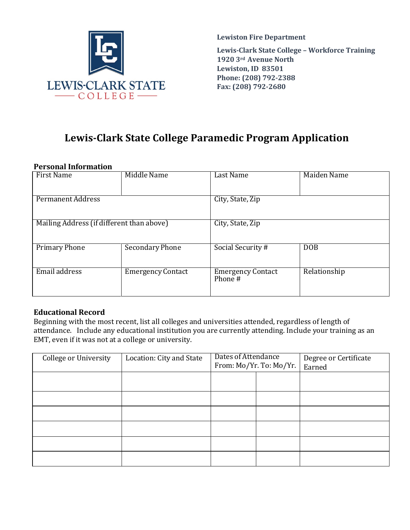

**Lewiston Fire Department Lewis-Clark State College – Workforce Training 1920 3rd Avenue North Lewiston, ID 83501 Phone: (208) 792-2388 Fax: (208) 792-2680**

# **Lewis-Clark State College Paramedic Program Application**

#### **Personal Information**

| <b>First Name</b>                         | Middle Name              | Last Name                           | Maiden Name  |  |
|-------------------------------------------|--------------------------|-------------------------------------|--------------|--|
| Permanent Address                         |                          | City, State, Zip                    |              |  |
| Mailing Address (if different than above) |                          | City, State, Zip                    |              |  |
| Primary Phone                             | Secondary Phone          | Social Security #                   | <b>DOB</b>   |  |
| Email address                             | <b>Emergency Contact</b> | <b>Emergency Contact</b><br>Phone # | Relationship |  |

## **Educational Record**

Beginning with the most recent, list all colleges and universities attended, regardless of length of attendance. Include any educational institution you are currently attending. Include your training as an EMT, even if it was not at a college or university.

| College or University | Location: City and State | Dates of Attendance<br>From: Mo/Yr. To: Mo/Yr. |  | Degree or Certificate<br>Earned |  |
|-----------------------|--------------------------|------------------------------------------------|--|---------------------------------|--|
|                       |                          |                                                |  |                                 |  |
|                       |                          |                                                |  |                                 |  |
|                       |                          |                                                |  |                                 |  |
|                       |                          |                                                |  |                                 |  |
|                       |                          |                                                |  |                                 |  |
|                       |                          |                                                |  |                                 |  |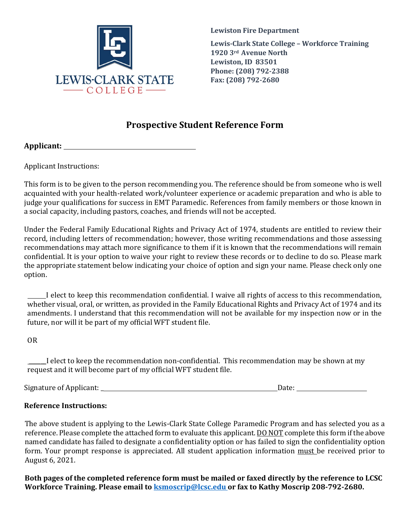

**Lewiston Fire Department Lewis-Clark State College – Workforce Training 1920 3rd Avenue North Lewiston, ID 83501 Phone: (208) 792-2388 Fax: (208) 792-2680**

# **Prospective Student Reference Form**

**Applicant:** 

Applicant Instructions:

This form is to be given to the person recommending you. The reference should be from someone who is well acquainted with your health-related work/volunteer experience or academic preparation and who is able to judge your qualifications for success in EMT Paramedic. References from family members or those known in a social capacity, including pastors, coaches, and friends will not be accepted.

Under the Federal Family Educational Rights and Privacy Act of 1974, students are entitled to review their record, including letters of recommendation; however, those writing recommendations and those assessing recommendations may attach more significance to them if it is known that the recommendations will remain confidential. It is your option to waive your right to review these records or to decline to do so. Please mark the appropriate statement below indicating your choice of option and sign your name. Please check only one option.

 I elect to keep this recommendation confidential. I waive all rights of access to this recommendation, whether visual, oral, or written, as provided in the Family Educational Rights and Privacy Act of 1974 and its amendments. I understand that this recommendation will not be available for my inspection now or in the future, nor will it be part of my official WFT student file.

OR

\_\_\_\_\_\_I elect to keep the recommendation non-confidential. This recommendation may be shown at my request and it will become part of my official WFT student file.

Signature of Applicant: \_ Date:

## **Reference Instructions:**

The above student is applying to the Lewis-Clark State College Paramedic Program and has selected you as a reference. Please complete the attached form to evaluate this applicant. **DO NOT** complete this form if the above named candidate has failed to designate a confidentiality option or has failed to sign the confidentiality option form. Your prompt response is appreciated. All student application information must be received prior to August 6, 2021.

**Both pages of the completed reference form must be mailed or faxed directly by the reference to LCSC Workforce Training. Please email to ksmoscrip@lcsc.edu or fax to Kathy Moscrip 208-792-2680.**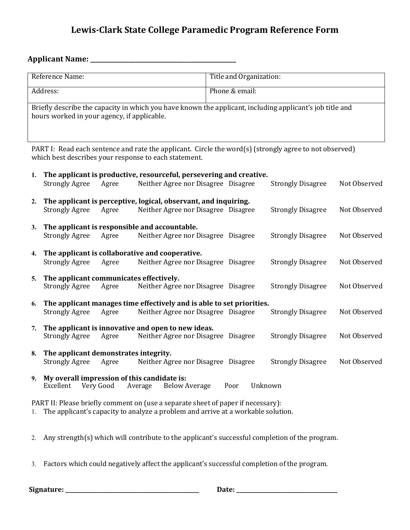# **Lewis-Clark State College Paramedic Program Reference Form**

## **Applicant Name: \_\_\_\_\_\_\_\_\_\_\_\_\_\_\_\_\_\_\_\_\_\_\_\_\_\_\_\_\_\_\_\_\_\_\_\_\_\_\_\_\_\_\_\_\_\_\_\_\_**

| Reference Name:                                                                                          | Title and Organization: |  |
|----------------------------------------------------------------------------------------------------------|-------------------------|--|
|                                                                                                          |                         |  |
|                                                                                                          |                         |  |
| Address:                                                                                                 | Phone & email:          |  |
|                                                                                                          |                         |  |
|                                                                                                          |                         |  |
|                                                                                                          |                         |  |
| Briefly describe the capacity in which you have known the applicant, including applicant's job title and |                         |  |
| hours worked in your agency, if applicable.                                                              |                         |  |
|                                                                                                          |                         |  |
|                                                                                                          |                         |  |
|                                                                                                          |                         |  |
|                                                                                                          |                         |  |
|                                                                                                          |                         |  |

PART I: Read each sentence and rate the applicant. Circle the word(s) (strongly agree to not observed) which best describes your response to each statement.

| 1.           |                                       |           | The applicant is productive, resourceful, persevering and creative.              |      |                          |              |
|--------------|---------------------------------------|-----------|----------------------------------------------------------------------------------|------|--------------------------|--------------|
|              | <b>Strongly Agree</b>                 | Agree     | Neither Agree nor Disagree Disagree                                              |      | <b>Strongly Disagree</b> | Not Observed |
| 2.           |                                       |           | The applicant is perceptive, logical, observant, and inquiring.                  |      |                          |              |
|              | <b>Strongly Agree</b>                 | Agree     | Neither Agree nor Disagree Disagree                                              |      | <b>Strongly Disagree</b> | Not Observed |
| 3.           |                                       |           | The applicant is responsible and accountable.                                    |      |                          |              |
|              | <b>Strongly Agree</b>                 | Agree     | Neither Agree nor Disagree Disagree                                              |      | <b>Strongly Disagree</b> | Not Observed |
| $\mathbf{4}$ |                                       |           | The applicant is collaborative and cooperative.                                  |      |                          |              |
|              | <b>Strongly Agree</b>                 | Agree     | Neither Agree nor Disagree Disagree                                              |      | <b>Strongly Disagree</b> | Not Observed |
| 5.           |                                       |           | The applicant communicates effectively.                                          |      |                          |              |
|              | Strongly Agree                        | Agree     | Neither Agree nor Disagree Disagree                                              |      | <b>Strongly Disagree</b> | Not Observed |
| 6.           |                                       |           | The applicant manages time effectively and is able to set priorities.            |      |                          |              |
|              | <b>Strongly Agree</b>                 | Agree     | Neither Agree nor Disagree Disagree                                              |      | <b>Strongly Disagree</b> | Not Observed |
| 7.           |                                       |           | The applicant is innovative and open to new ideas.                               |      |                          |              |
|              | <b>Strongly Agree</b>                 | Agree     | Neither Agree nor Disagree Disagree                                              |      | <b>Strongly Disagree</b> | Not Observed |
| 8.           | The applicant demonstrates integrity. |           |                                                                                  |      |                          |              |
|              | <b>Strongly Agree</b>                 | Agree     | Neither Agree nor Disagree Disagree                                              |      | <b>Strongly Disagree</b> | Not Observed |
| 9.           |                                       |           | My overall impression of this candidate is:                                      |      |                          |              |
|              | Excellent                             | Very Good | <b>Below Average</b><br>Average                                                  | Poor | Unknown                  |              |
|              |                                       |           | PART II: Please briefly comment on (use a separate sheet of paper if necessary): |      |                          |              |

1. The applicant's capacity to analyze a problem and arrive at a workable solution.

- 2. Any strength(s) which will contribute to the applicant's successful completion of the program.
- 3. Factors which could negatively affect the applicant's successful completion of the program.